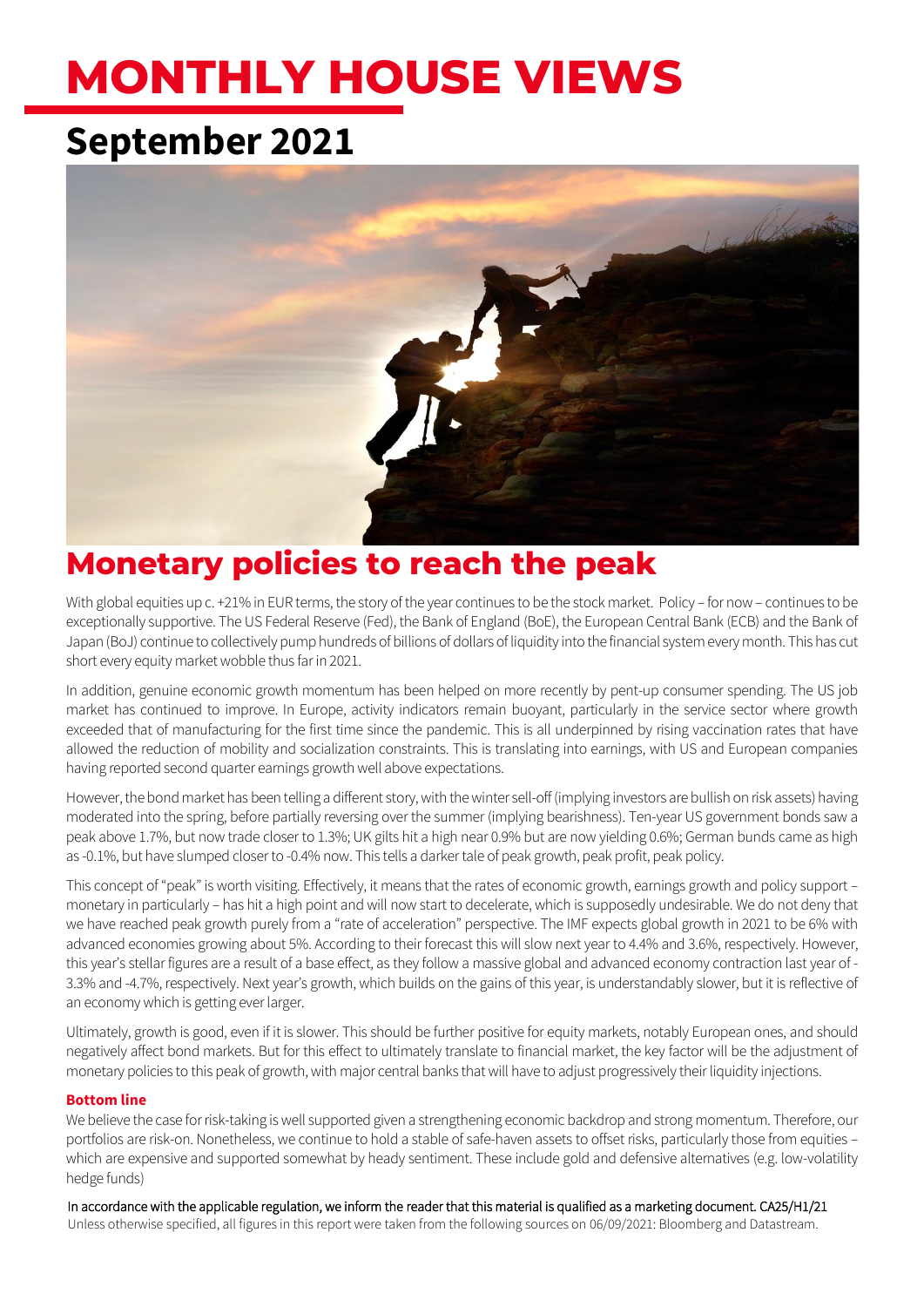# **MONTHLY HOUSE VIEWS**

# **September 2021**



# **Monetary policies to reach the peak**

With global equities up c. +21% in EUR terms, the story of the year continues to be the stock market. Policy – for now – continues to be exceptionally supportive. The US Federal Reserve (Fed), the Bank of England (BoE), the European Central Bank (ECB) and the Bank of Japan (BoJ) continue to collectively pump hundreds of billions of dollars of liquidity into the financial system every month. This has cut short every equity market wobble thus far in 2021.

In addition, genuine economic growth momentum has been helped on more recently by pent-up consumer spending. The US job market has continued to improve. In Europe, activity indicators remain buoyant, particularly in the service sector where growth exceeded that of manufacturing for the first time since the pandemic. This is all underpinned by rising vaccination rates that have allowed the reduction of mobility and socialization constraints. This is translating into earnings, with US and European companies having reported second quarter earnings growth well above expectations.

However, the bond market has been telling a different story, with the winter sell-off (implying investors are bullish on risk assets) having moderated into the spring, before partially reversing over the summer (implying bearishness). Ten-year US government bonds saw a peak above 1.7%, but now trade closer to 1.3%; UK gilts hit a high near 0.9% but are now yielding 0.6%; German bunds came as high as -0.1%, but have slumped closer to -0.4% now. This tells a darker tale of peak growth, peak profit, peak policy.

This concept of "peak" is worth visiting. Effectively, it means that the rates of economic growth, earnings growth and policy support – monetary in particularly – has hit a high point and will now start to decelerate, which is supposedly undesirable. We do not deny that we have reached peak growth purely from a "rate of acceleration" perspective. The IMF expects global growth in 2021 to be 6% with advanced economies growing about 5%. According to their forecast this will slow next year to 4.4% and 3.6%, respectively. However, this year's stellar figures are a result of a base effect, as they follow a massive global and advanced economy contraction last year of - 3.3% and -4.7%, respectively. Next year's growth, which builds on the gains of this year, is understandably slower, but it is reflective of an economy which is getting ever larger.

Ultimately, growth is good, even if it is slower. This should be further positive for equity markets, notably European ones, and should negatively affect bond markets. But for this effect to ultimately translate to financial market, the key factor will be the adjustment of monetary policies to this peak of growth, with major central banks that will have to adjust progressively their liquidity injections.

### **Bottom line**

We believe the case for risk-taking is well supported given a strengthening economic backdrop and strong momentum. Therefore, our portfolios are risk-on. Nonetheless, we continue to hold a stable of safe-haven assets to offset risks, particularly those from equities – which are expensive and supported somewhat by heady sentiment. These include gold and defensive alternatives (e.g. low-volatility hedge funds)

In accordance with the applicable regulation, we inform the reader that this material is qualified as a marketing document. CA25/H1/21 Unless otherwise specified, all figures in this report were taken from the following sources on 06/09/2021: Bloomberg and Datastream.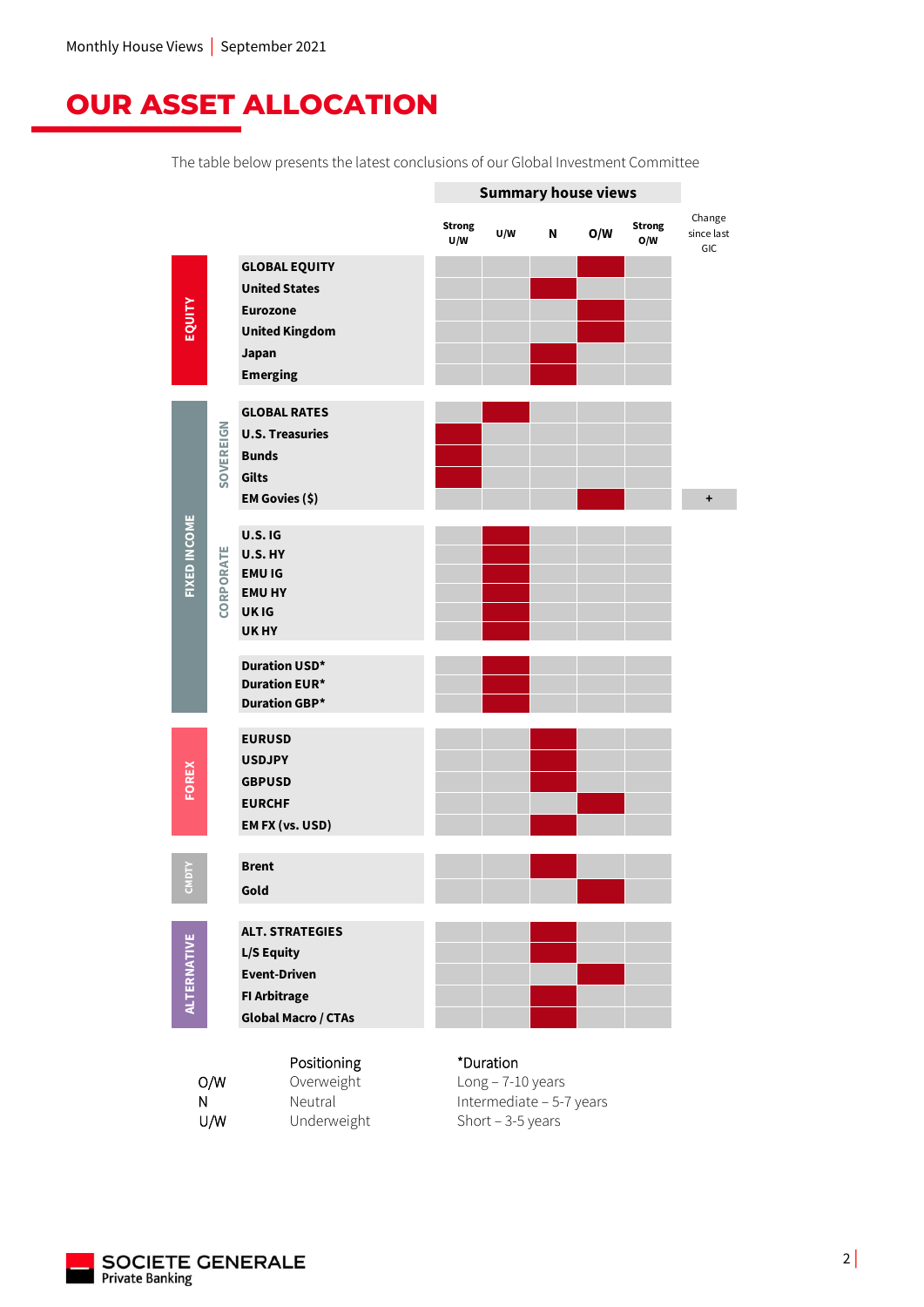# **OUR ASSET ALLOCATION**

The table below presents the latest conclusions of our Global Investment Committee



U/W Underweight Short – 3-5 years

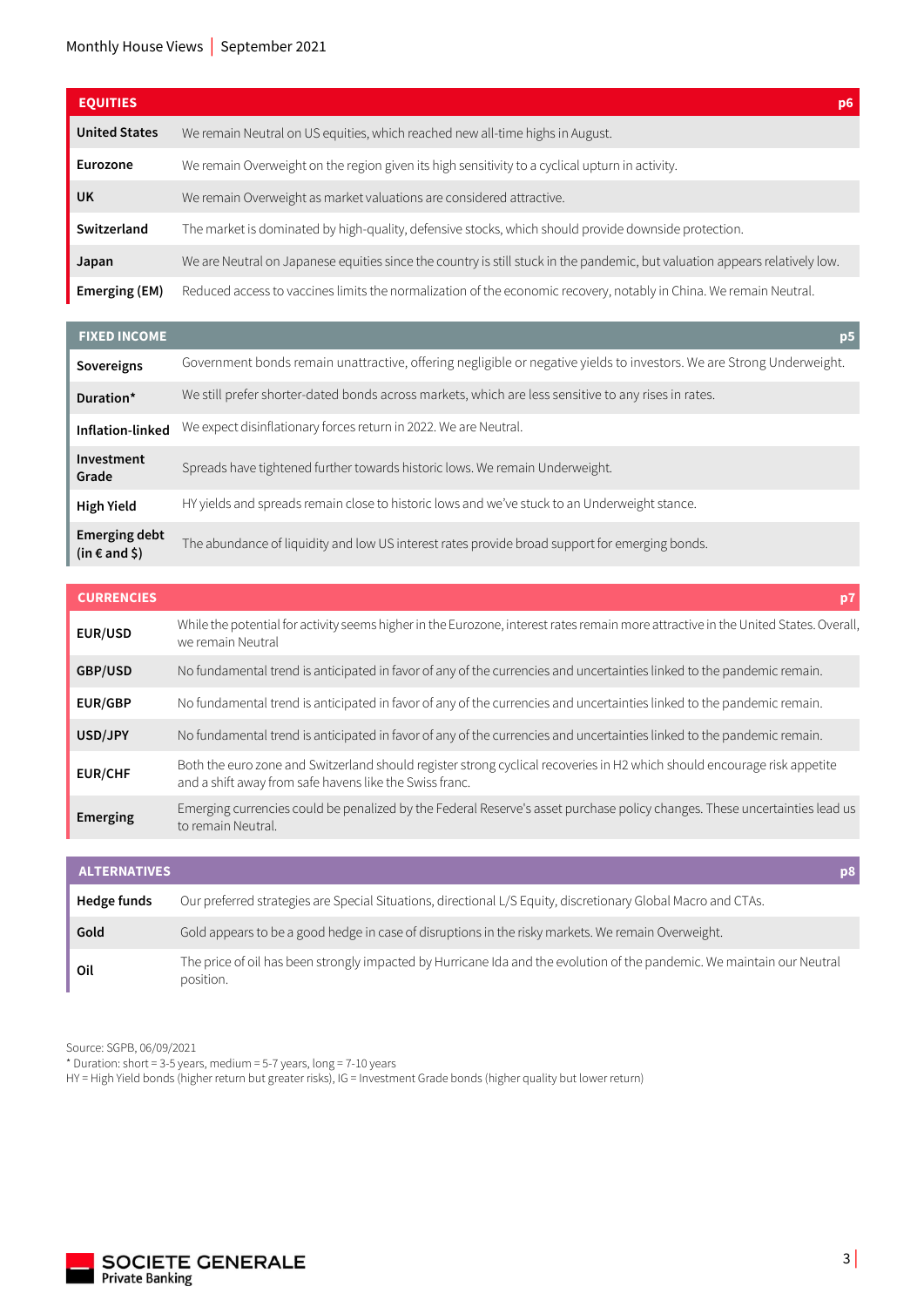| <b>EQUITIES</b>      |                                                                                                                             | p6 |
|----------------------|-----------------------------------------------------------------------------------------------------------------------------|----|
| <b>United States</b> | We remain Neutral on US equities, which reached new all-time highs in August.                                               |    |
| <b>Eurozone</b>      | We remain Overweight on the region given its high sensitivity to a cyclical upturn in activity.                             |    |
| <b>UK</b>            | We remain Overweight as market valuations are considered attractive.                                                        |    |
| Switzerland          | The market is dominated by high-quality, defensive stocks, which should provide downside protection.                        |    |
| Japan                | We are Neutral on Japanese equities since the country is still stuck in the pandemic, but valuation appears relatively low. |    |
| Emerging (EM)        | Reduced access to vaccines limits the normalization of the economic recovery, notably in China. We remain Neutral.          |    |

| <b>FIXED INCOME</b>                       | p <sub>5</sub>                                                                                                        |
|-------------------------------------------|-----------------------------------------------------------------------------------------------------------------------|
| Sovereigns                                | Government bonds remain unattractive, offering negligible or negative yields to investors. We are Strong Underweight. |
| Duration*                                 | We still prefer shorter-dated bonds across markets, which are less sensitive to any rises in rates.                   |
| Inflation-linked                          | We expect disinflationary forces return in 2022. We are Neutral.                                                      |
| Investment<br>Grade                       | Spreads have tightened further towards historic lows. We remain Underweight.                                          |
| <b>High Yield</b>                         | HY yields and spreads remain close to historic lows and we've stuck to an Underweight stance.                         |
| <b>Emerging debt</b><br>$(in \in and \S)$ | The abundance of liquidity and low US interest rates provide broad support for emerging bonds.                        |

| <b>CURRENCIES</b> |                                                                                                                                                                                     |
|-------------------|-------------------------------------------------------------------------------------------------------------------------------------------------------------------------------------|
| <b>EUR/USD</b>    | While the potential for activity seems higher in the Eurozone, interest rates remain more attractive in the United States. Overall,<br>we remain Neutral                            |
| GBP/USD           | No fundamental trend is anticipated in favor of any of the currencies and uncertainties linked to the pandemic remain.                                                              |
| <b>EUR/GBP</b>    | No fundamental trend is anticipated in favor of any of the currencies and uncertainties linked to the pandemic remain.                                                              |
| USD/JPY           | No fundamental trend is anticipated in favor of any of the currencies and uncertainties linked to the pandemic remain.                                                              |
| <b>EUR/CHF</b>    | Both the euro zone and Switzerland should register strong cyclical recoveries in H2 which should encourage risk appetite<br>and a shift away from safe havens like the Swiss franc. |
| Emerging          | Emerging currencies could be penalized by the Federal Reserve's asset purchase policy changes. These uncertainties lead us<br>to remain Neutral.                                    |

| <b>ALTERNATIVES</b> | p8                                                                                                                                   |
|---------------------|--------------------------------------------------------------------------------------------------------------------------------------|
| Hedge funds         | Our preferred strategies are Special Situations, directional L/S Equity, discretionary Global Macro and CTAs.                        |
| Gold                | Gold appears to be a good hedge in case of disruptions in the risky markets. We remain Overweight.                                   |
| Oil                 | The price of oil has been strongly impacted by Hurricane Ida and the evolution of the pandemic. We maintain our Neutral<br>position. |

Source: SGPB, 06/09/2021

\* Duration: short = 3-5 years, medium = 5-7 years, long = 7-10 years

HY = High Yield bonds (higher return but greater risks), IG = Investment Grade bonds (higher quality but lower return)

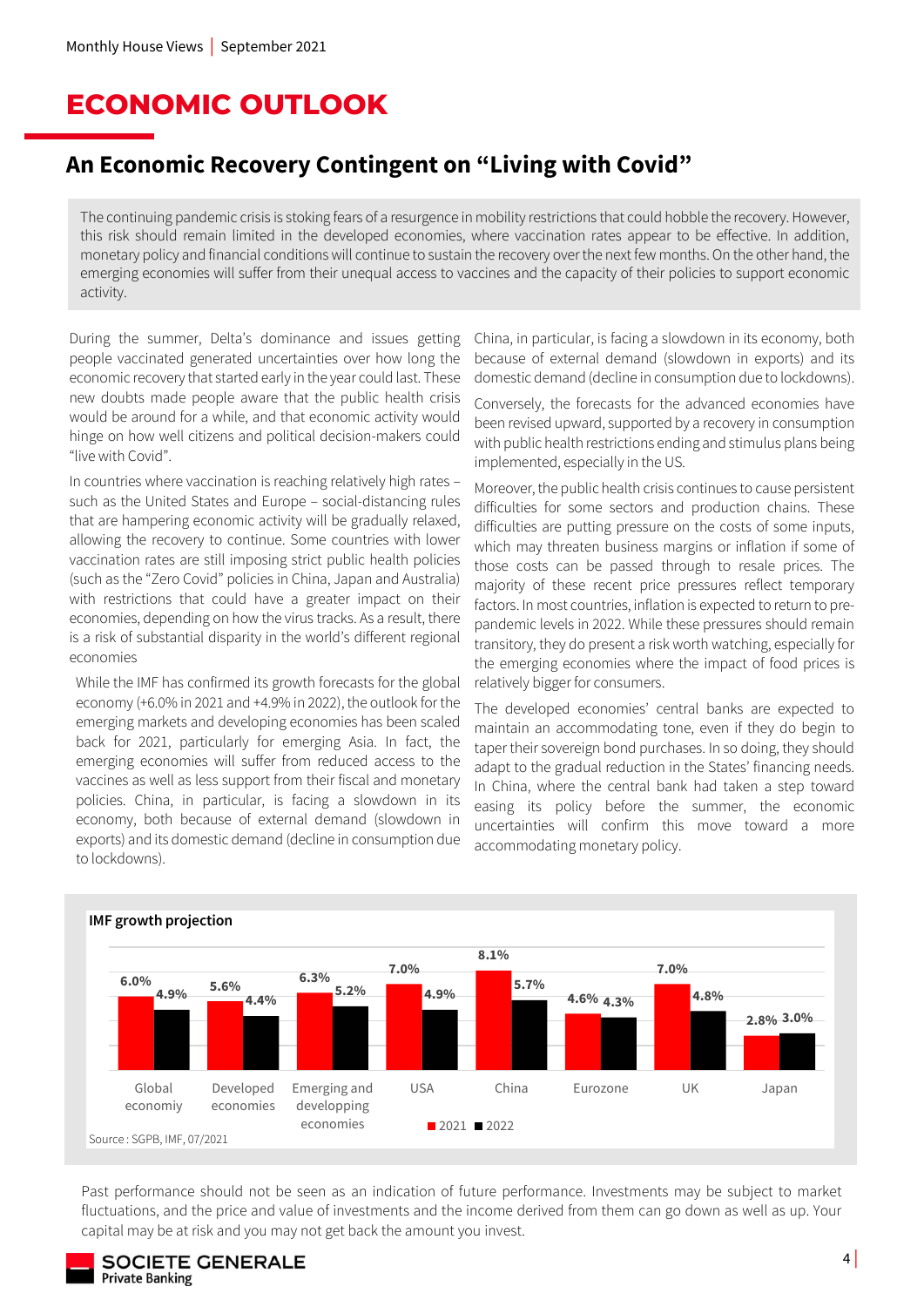# **ECONOMIC OUTLOOK**

### **An Economic Recovery Contingent on "Living with Covid"**

The continuing pandemic crisis is stoking fears of a resurgence in mobility restrictions that could hobble the recovery. However, this risk should remain limited in the developed economies, where vaccination rates appear to be effective. In addition, monetary policy and financial conditions will continue to sustain the recovery over the next few months. On the other hand, the emerging economies will suffer from their unequal access to vaccines and the capacity of their policies to support economic activity.

During the summer, Delta's dominance and issues getting people vaccinated generated uncertainties over how long the economic recovery that started early in the year could last. These new doubts made people aware that the public health crisis would be around for a while, and that economic activity would hinge on how well citizens and political decision-makers could "live with Covid".

In countries where vaccination is reaching relatively high rates – such as the United States and Europe – social-distancing rules that are hampering economic activity will be gradually relaxed, allowing the recovery to continue. Some countries with lower vaccination rates are still imposing strict public health policies (such as the "Zero Covid" policies in China, Japan and Australia) with restrictions that could have a greater impact on their economies, depending on how the virus tracks. As a result, there is a risk of substantial disparity in the world's different regional economies

While the IMF has confirmed its growth forecasts for the global economy (+6.0% in 2021 and +4.9% in 2022), the outlook for the emerging markets and developing economies has been scaled back for 2021, particularly for emerging Asia. In fact, the emerging economies will suffer from reduced access to the vaccines as well as less support from their fiscal and monetary policies. China, in particular, is facing a slowdown in its economy, both because of external demand (slowdown in exports) and its domestic demand (decline in consumption due to lockdowns).

China, in particular, is facing a slowdown in its economy, both because of external demand (slowdown in exports) and its domestic demand (decline in consumption due to lockdowns).

Conversely, the forecasts for the advanced economies have been revised upward, supported by a recovery in consumption with public health restrictions ending and stimulus plans being implemented, especially in the US.

Moreover, the public health crisis continues to cause persistent difficulties for some sectors and production chains. These difficulties are putting pressure on the costs of some inputs, which may threaten business margins or inflation if some of those costs can be passed through to resale prices. The majority of these recent price pressures reflect temporary factors. In most countries, inflation is expected to return to prepandemic levels in 2022. While these pressures should remain transitory, they do present a risk worth watching, especially for the emerging economies where the impact of food prices is relatively bigger for consumers.

The developed economies' central banks are expected to maintain an accommodating tone, even if they do begin to taper their sovereign bond purchases. In so doing, they should adapt to the gradual reduction in the States' financing needs. In China, where the central bank had taken a step toward easing its policy before the summer, the economic uncertainties will confirm this move toward a more accommodating monetary policy.



**IMF growth projection**

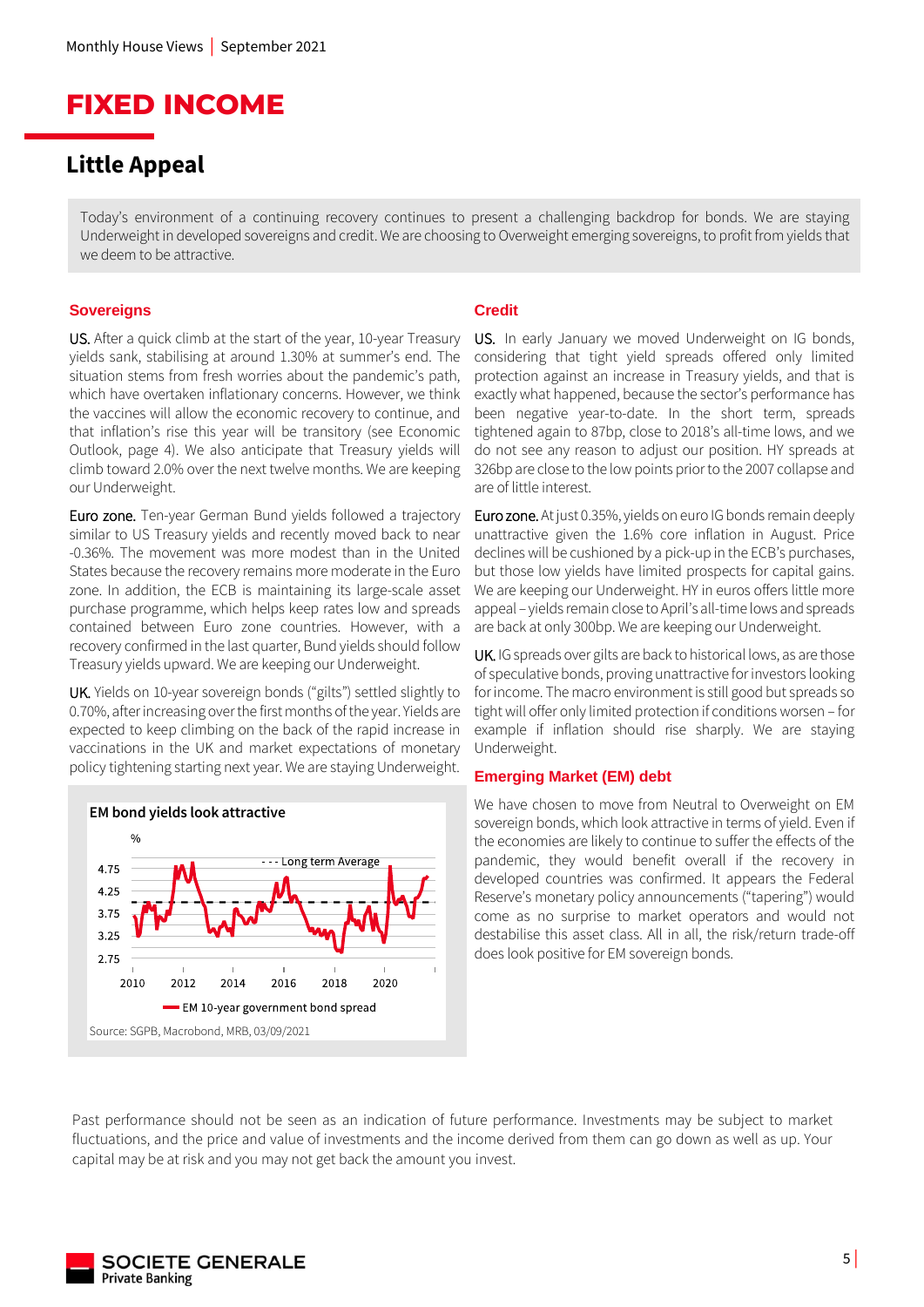## **FIXED INCOME**

### **Little Appeal**

Today's environment of a continuing recovery continues to present a challenging backdrop for bonds. We are staying Underweight in developed sovereigns and credit. We are choosing to Overweight emerging sovereigns, to profit from yields that we deem to be attractive.

#### **Sovereigns**

US. After a quick climb at the start of the year, 10-year Treasury yields sank, stabilising at around 1.30% at summer's end. The situation stems from fresh worries about the pandemic's path, which have overtaken inflationary concerns. However, we think the vaccines will allow the economic recovery to continue, and that inflation's rise this year will be transitory (see Economic Outlook, page 4). We also anticipate that Treasury yields will climb toward 2.0% over the next twelve months. We are keeping our Underweight.

Euro zone. Ten-year German Bund yields followed a trajectory similar to US Treasury yields and recently moved back to near -0.36%. The movement was more modest than in the United States because the recovery remains more moderate in the Euro zone. In addition, the ECB is maintaining its large-scale asset purchase programme, which helps keep rates low and spreads contained between Euro zone countries. However, with a recovery confirmed in the last quarter, Bund yields should follow Treasury yields upward. We are keeping our Underweight.

UK. Yields on 10-year sovereign bonds ("gilts") settled slightly to 0.70%, after increasing over the first months of the year. Yields are expected to keep climbing on the back of the rapid increase in vaccinations in the UK and market expectations of monetary policy tightening starting next year. We are staying Underweight.



#### **Credit**

US. In early January we moved Underweight on IG bonds, considering that tight yield spreads offered only limited protection against an increase in Treasury yields, and that is exactly what happened, because the sector's performance has been negative year-to-date. In the short term, spreads tightened again to 87bp, close to 2018's all-time lows, and we do not see any reason to adjust our position. HY spreads at 326bp are close to the low points prior to the 2007 collapse and are of little interest.

Euro zone. At just 0.35%, yields on euro IG bonds remain deeply unattractive given the 1.6% core inflation in August. Price declines will be cushioned by a pick-up in the ECB's purchases, but those low yields have limited prospects for capital gains. We are keeping our Underweight. HY in euros offers little more appeal – yields remain close to April's all-time lows and spreads are back at only 300bp. We are keeping our Underweight.

UK. IG spreads over gilts are back to historical lows, as are those of speculative bonds, proving unattractive for investors looking for income. The macro environment is still good but spreads so tight will offer only limited protection if conditions worsen – for example if inflation should rise sharply. We are staying Underweight.

#### **Emerging Market (EM) debt**

We have chosen to move from Neutral to Overweight on EM sovereign bonds, which look attractive in terms of yield. Even if the economies are likely to continue to suffer the effects of the pandemic, they would benefit overall if the recovery in developed countries was confirmed. It appears the Federal Reserve's monetary policy announcements ("tapering") would come as no surprise to market operators and would not destabilise this asset class. All in all, the risk/return trade-off does look positive for EM sovereign bonds.

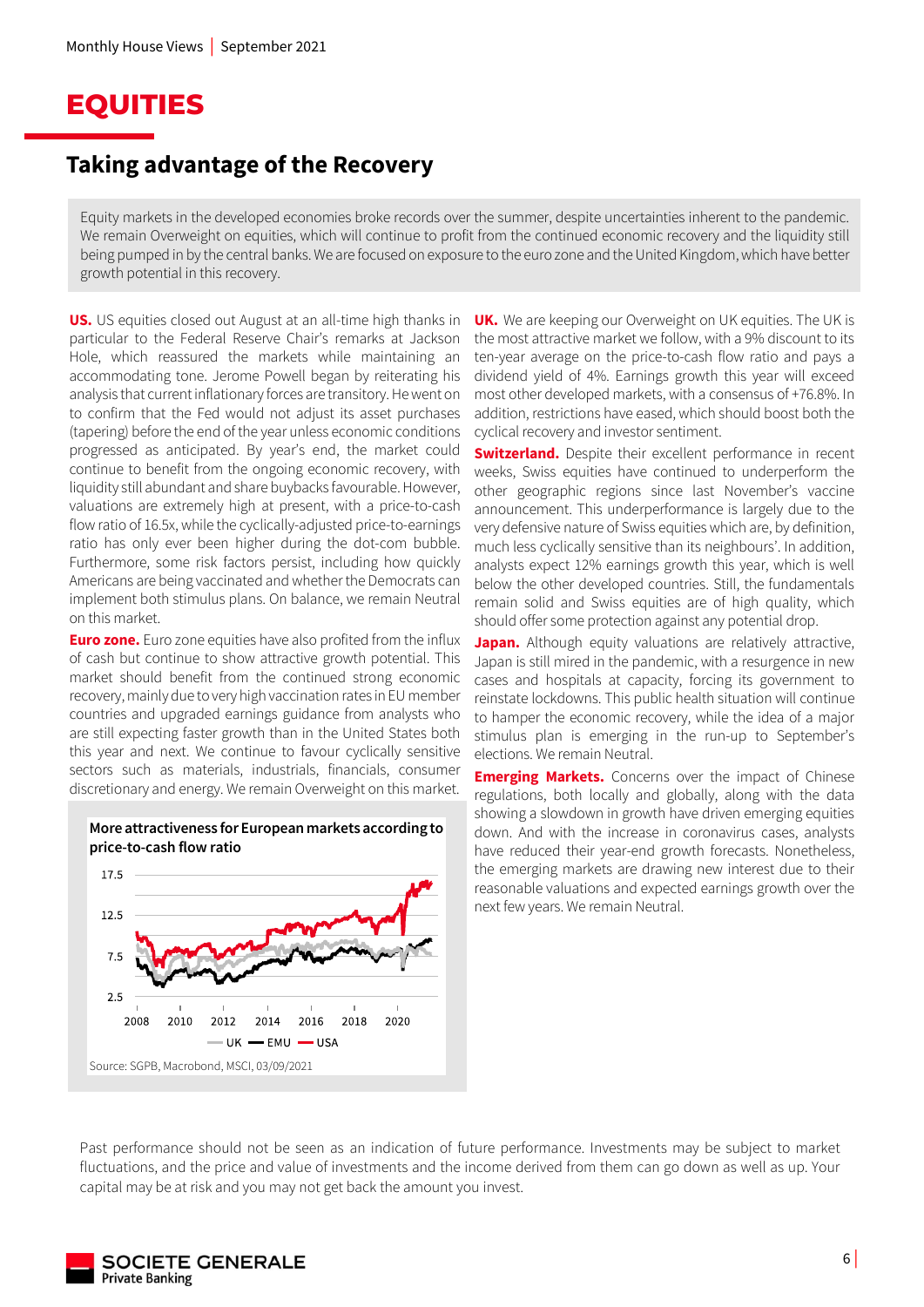## **EQUITIES**

### **Taking advantage of the Recovery**

Equity markets in the developed economies broke records over the summer, despite uncertainties inherent to the pandemic. We remain Overweight on equities, which will continue to profit from the continued economic recovery and the liquidity still being pumped in by the central banks. We are focused on exposure to the euro zone and the United Kingdom, which have better growth potential in this recovery.

**US.** US equities closed out August at an all-time high thanks in particular to the Federal Reserve Chair's remarks at Jackson Hole, which reassured the markets while maintaining an accommodating tone. Jerome Powell began by reiterating his analysis that currentinflationary forces are transitory. He went on to confirm that the Fed would not adjust its asset purchases (tapering) before the end of the year unless economic conditions progressed as anticipated. By year's end, the market could continue to benefit from the ongoing economic recovery, with liquidity still abundant and share buybacks favourable. However, valuations are extremely high at present, with a price-to-cash flow ratio of 16.5x, while the cyclically-adjusted price-to-earnings ratio has only ever been higher during the dot-com bubble. Furthermore, some risk factors persist, including how quickly Americans are being vaccinated and whether the Democrats can implement both stimulus plans. On balance, we remain Neutral on this market.

**Euro zone.** Euro zone equities have also profited from the influx of cash but continue to show attractive growth potential. This market should benefit from the continued strong economic recovery, mainly due to very high vaccination rates in EU member countries and upgraded earnings guidance from analysts who are still expecting faster growth than in the United States both this year and next. We continue to favour cyclically sensitive sectors such as materials, industrials, financials, consumer discretionary and energy. We remain Overweight on this market.

#### **More attractiveness for European markets according to price-to-cash flow ratio**



**UK.** We are keeping our Overweight on UK equities. The UK is the most attractive market we follow, with a 9% discount to its ten-year average on the price-to-cash flow ratio and pays a dividend yield of 4%. Earnings growth this year will exceed most other developed markets, with a consensus of +76.8%. In addition, restrictions have eased, which should boost both the cyclical recovery and investor sentiment.

**Switzerland.** Despite their excellent performance in recent weeks, Swiss equities have continued to underperform the other geographic regions since last November's vaccine announcement. This underperformance is largely due to the very defensive nature of Swiss equities which are, by definition, much less cyclically sensitive than its neighbours'. In addition, analysts expect 12% earnings growth this year, which is well below the other developed countries. Still, the fundamentals remain solid and Swiss equities are of high quality, which should offer some protection against any potential drop.

**Japan.** Although equity valuations are relatively attractive, Japan is still mired in the pandemic, with a resurgence in new cases and hospitals at capacity, forcing its government to reinstate lockdowns. This public health situation will continue to hamper the economic recovery, while the idea of a major stimulus plan is emerging in the run-up to September's elections. We remain Neutral.

**Emerging Markets.** Concerns over the impact of Chinese regulations, both locally and globally, along with the data showing a slowdown in growth have driven emerging equities down. And with the increase in coronavirus cases, analysts have reduced their year-end growth forecasts. Nonetheless, the emerging markets are drawing new interest due to their reasonable valuations and expected earnings growth over the next few years. We remain Neutral.

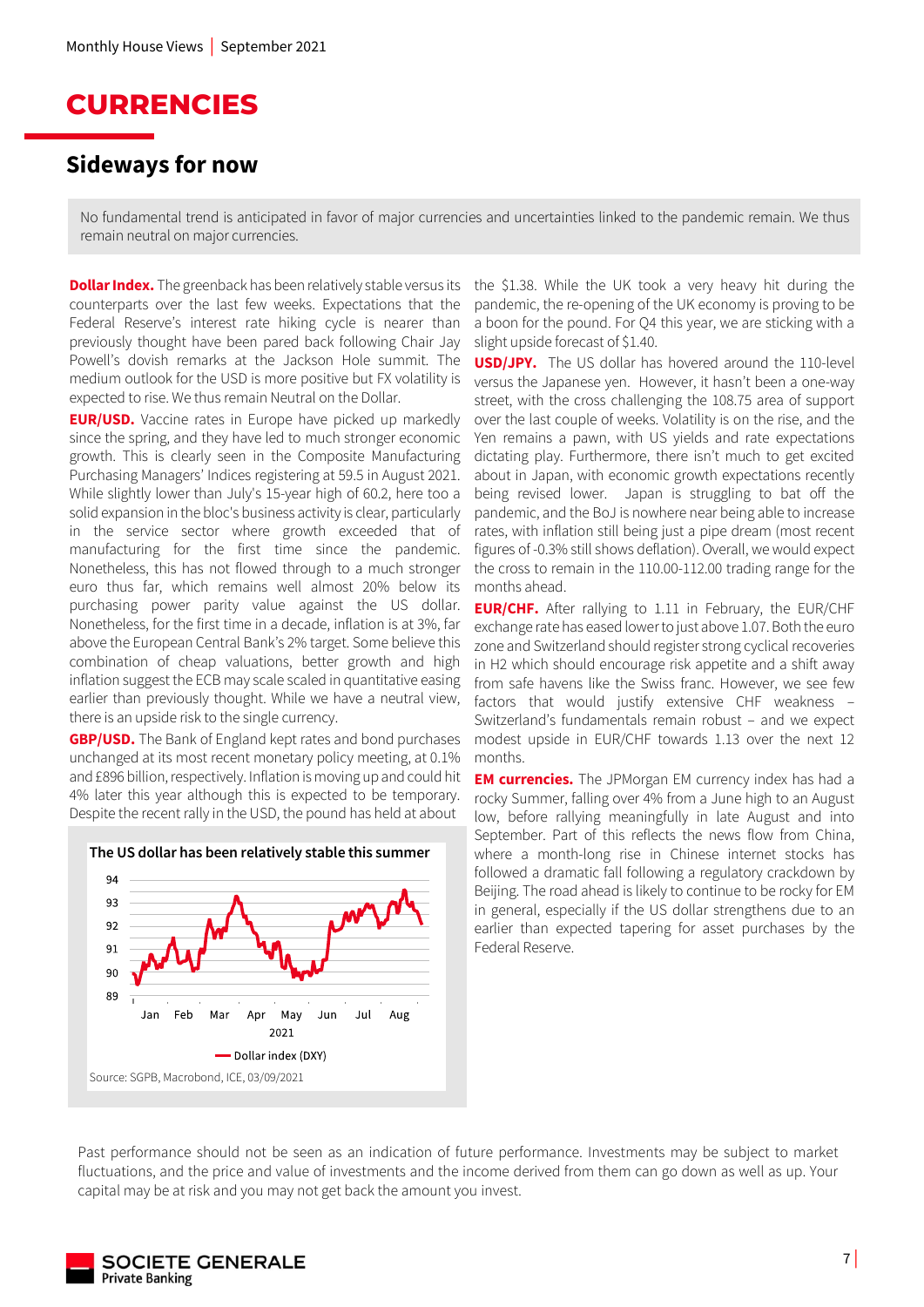### **CURRENCIES**

### **Sideways for now**

No fundamental trend is anticipated in favor of major currencies and uncertainties linked to the pandemic remain. We thus remain neutral on major currencies.

**Dollar Index.** The greenback has been relatively stable versus its counterparts over the last few weeks. Expectations that the Federal Reserve's interest rate hiking cycle is nearer than previously thought have been pared back following Chair Jay Powell's dovish remarks at the Jackson Hole summit. The medium outlook for the USD is more positive but FX volatility is expected to rise. We thus remain Neutral on the Dollar.

**EUR/USD.** Vaccine rates in Europe have picked up markedly since the spring, and they have led to much stronger economic growth. This is clearly seen in the Composite Manufacturing Purchasing Managers' Indices registering at 59.5 in August 2021. While slightly lower than July's 15-year high of 60.2, here too a solid expansion in the bloc's business activity is clear, particularly in the service sector where growth exceeded that of manufacturing for the first time since the pandemic. Nonetheless, this has not flowed through to a much stronger euro thus far, which remains well almost 20% below its purchasing power parity value against the US dollar. Nonetheless, for the first time in a decade, inflation is at 3%, far above the European Central Bank's 2% target. Some believe this combination of cheap valuations, better growth and high inflation suggest the ECB may scale scaled in quantitative easing earlier than previously thought. While we have a neutral view, there is an upside risk to the single currency.

**GBP/USD.** The Bank of England kept rates and bond purchases unchanged at its most recent monetary policy meeting, at 0.1% and £896 billion, respectively. Inflation is moving up and could hit 4% later this year although this is expected to be temporary. Despite the recent rally in the USD, the pound has held at about



the \$1.38. While the UK took a very heavy hit during the pandemic, the re-opening of the UK economy is proving to be a boon for the pound. For Q4 this year, we are sticking with a slight upside forecast of \$1.40.

**USD/JPY.** The US dollar has hovered around the 110-level versus the Japanese yen. However, it hasn't been a one-way street, with the cross challenging the 108.75 area of support over the last couple of weeks. Volatility is on the rise, and the Yen remains a pawn, with US yields and rate expectations dictating play. Furthermore, there isn't much to get excited about in Japan, with economic growth expectations recently being revised lower. Japan is struggling to bat off the pandemic, and the BoJ is nowhere near being able to increase rates, with inflation still being just a pipe dream (most recent figures of -0.3% still shows deflation). Overall, we would expect the cross to remain in the 110.00-112.00 trading range for the months ahead.

**EUR/CHF.** After rallying to 1.11 in February, the EUR/CHF exchange rate has eased lower to just above 1.07. Both the euro zone and Switzerland should register strong cyclical recoveries in H2 which should encourage risk appetite and a shift away from safe havens like the Swiss franc. However, we see few factors that would justify extensive CHF weakness – Switzerland's fundamentals remain robust – and we expect modest upside in EUR/CHF towards 1.13 over the next 12 months.

**EM currencies.** The JPMorgan EM currency index has had a rocky Summer, falling over 4% from a June high to an August low, before rallying meaningfully in late August and into September. Part of this reflects the news flow from China, where a month-long rise in Chinese internet stocks has followed a dramatic fall following a regulatory crackdown by Beijing. The road ahead is likely to continue to be rocky for EM in general, especially if the US dollar strengthens due to an earlier than expected tapering for asset purchases by the Federal Reserve.

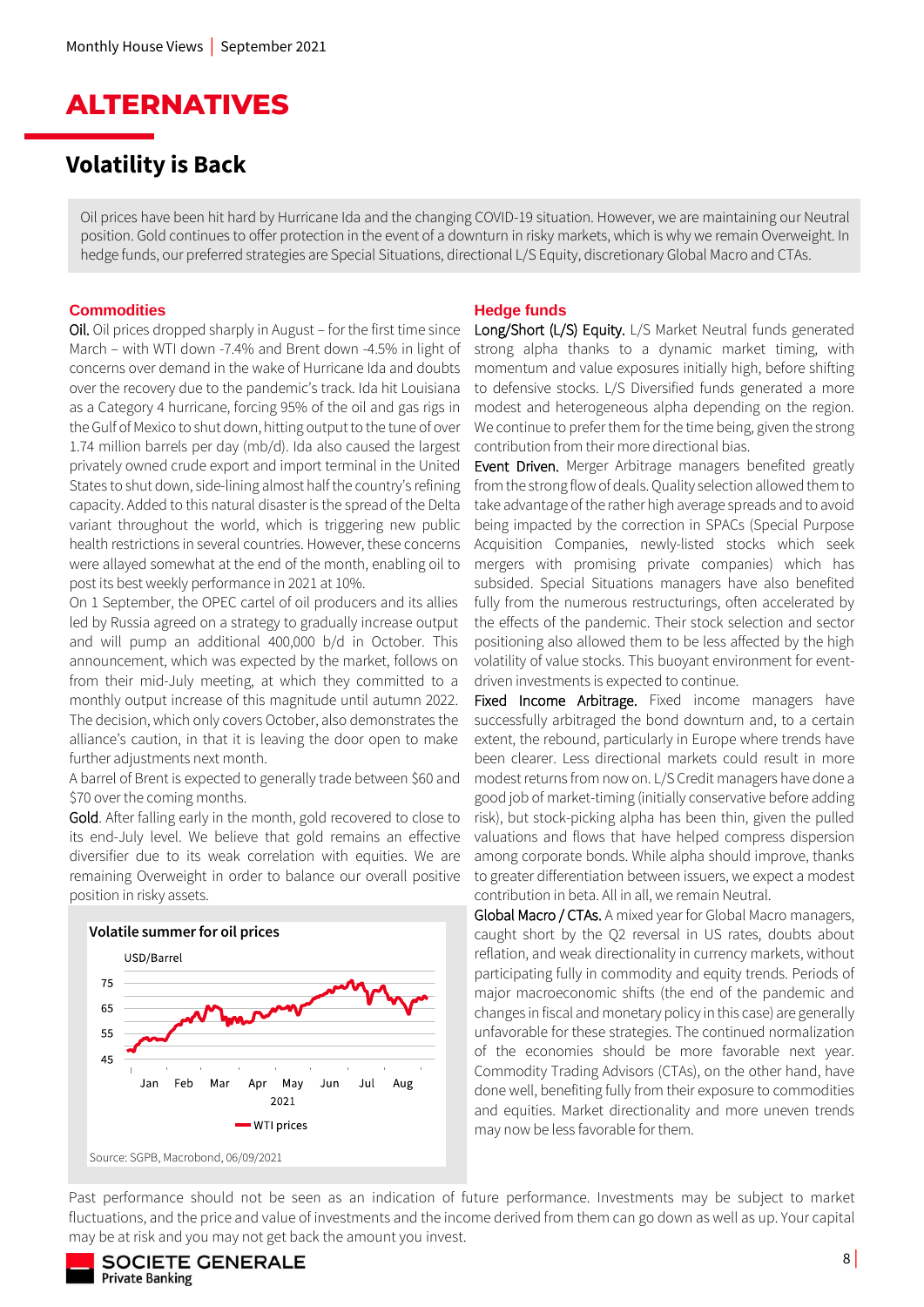

### **Volatility is Back**

Oil prices have been hit hard by Hurricane Ida and the changing COVID-19 situation. However, we are maintaining our Neutral position. Gold continues to offer protection in the event of a downturn in risky markets, which is why we remain Overweight. In hedge funds, our preferred strategies are Special Situations, directional L/S Equity, discretionary Global Macro and CTAs.

#### **Commodities**

Oil. Oil prices dropped sharply in August – for the first time since March – with WTI down -7.4% and Brent down -4.5% in light of concerns over demand in the wake of Hurricane Ida and doubts over the recovery due to the pandemic's track. Ida hit Louisiana as a Category 4 hurricane, forcing 95% of the oil and gas rigs in the Gulf of Mexico to shut down, hitting output to the tune of over 1.74 million barrels per day (mb/d). Ida also caused the largest privately owned crude export and import terminal in the United States to shut down, side-lining almost half the country's refining capacity. Added to this natural disaster is the spread of the Delta variant throughout the world, which is triggering new public health restrictions in several countries. However, these concerns were allayed somewhat at the end of the month, enabling oil to post its best weekly performance in 2021 at 10%.

On 1 September, the OPEC cartel of oil producers and its allies led by Russia agreed on a strategy to gradually increase output and will pump an additional 400,000 b/d in October. This announcement, which was expected by the market, follows on from their mid-July meeting, at which they committed to a monthly output increase of this magnitude until autumn 2022. The decision, which only covers October, also demonstrates the alliance's caution, in that it is leaving the door open to make further adjustments next month.

A barrel of Brent is expected to generally trade between \$60 and \$70 over the coming months.

Gold. After falling early in the month, gold recovered to close to its end-July level. We believe that gold remains an effective diversifier due to its weak correlation with equities. We are remaining Overweight in order to balance our overall positive position in risky assets.



#### **Hedge funds**

Long/Short (L/S) Equity. L/S Market Neutral funds generated strong alpha thanks to a dynamic market timing, with momentum and value exposures initially high, before shifting to defensive stocks. L/S Diversified funds generated a more modest and heterogeneous alpha depending on the region. We continue to prefer them for the time being, given the strong contribution from their more directional bias.

Event Driven. Merger Arbitrage managers benefited greatly from the strong flow of deals. Quality selection allowed them to take advantage of the rather high average spreads and to avoid being impacted by the correction in SPACs (Special Purpose Acquisition Companies, newly-listed stocks which seek mergers with promising private companies) which has subsided. Special Situations managers have also benefited fully from the numerous restructurings, often accelerated by the effects of the pandemic. Their stock selection and sector positioning also allowed them to be less affected by the high volatility of value stocks. This buoyant environment for eventdriven investments is expected to continue.

Fixed Income Arbitrage. Fixed income managers have successfully arbitraged the bond downturn and, to a certain extent, the rebound, particularly in Europe where trends have been clearer. Less directional markets could result in more modest returns from now on. L/S Credit managers have done a good job of market-timing (initially conservative before adding risk), but stock-picking alpha has been thin, given the pulled valuations and flows that have helped compress dispersion among corporate bonds. While alpha should improve, thanks to greater differentiation between issuers, we expect a modest contribution in beta. All in all, we remain Neutral.

Global Macro / CTAs. A mixed year for Global Macro managers, caught short by the Q2 reversal in US rates, doubts about reflation, and weak directionality in currency markets, without participating fully in commodity and equity trends. Periods of major macroeconomic shifts (the end of the pandemic and changes in fiscal and monetary policy in this case) are generally unfavorable for these strategies. The continued normalization of the economies should be more favorable next year. Commodity Trading Advisors (CTAs), on the other hand, have done well, benefiting fully from their exposure to commodities and equities. Market directionality and more uneven trends may now be less favorable for them.

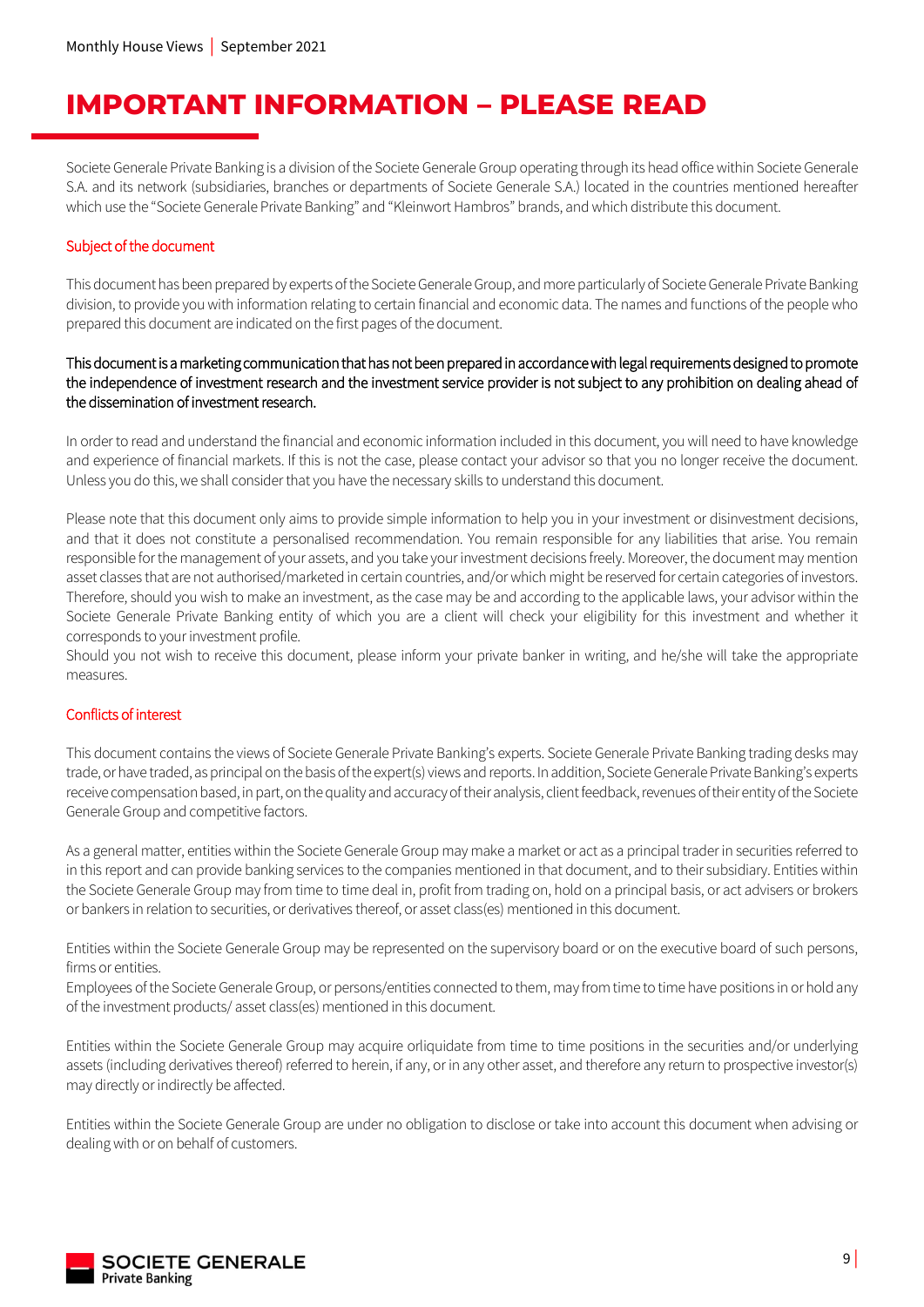# **IMPORTANT INFORMATION – PLEASE READ**

Societe Generale Private Banking is a division of the Societe Generale Group operating through its head office within Societe Generale S.A. and its network (subsidiaries, branches or departments of Societe Generale S.A.) located in the countries mentioned hereafter which use the "Societe Generale Private Banking" and "Kleinwort Hambros" brands, and which distribute this document.

### Subject of the document

This document has been prepared by experts of the Societe Generale Group, and more particularly of Societe Generale Private Banking division, to provide you with information relating to certain financial and economic data. The names and functions of the people who prepared this document are indicated on the first pages of the document.

### This document is a marketing communication that has not been prepared in accordance with legal requirements designed to promote the independence of investment research and the investment service provider is not subject to any prohibition on dealing ahead of the dissemination of investment research.

In order to read and understand the financial and economic information included in this document, you will need to have knowledge and experience of financial markets. If this is not the case, please contact your advisor so that you no longer receive the document. Unless you do this, we shall consider that you have the necessary skills to understand this document.

Please note that this document only aims to provide simple information to help you in your investment or disinvestment decisions, and that it does not constitute a personalised recommendation. You remain responsible for any liabilities that arise. You remain responsible for the management of your assets, and you take your investment decisions freely. Moreover, the document may mention asset classes that are not authorised/marketed in certain countries, and/or which might be reserved for certain categories of investors. Therefore, should you wish to make an investment, as the case may be and according to the applicable laws, your advisor within the Societe Generale Private Banking entity of which you are a client will check your eligibility for this investment and whether it corresponds to your investment profile.

Should you not wish to receive this document, please inform your private banker in writing, and he/she will take the appropriate measures.

### Conflicts of interest

This document contains the views of Societe Generale Private Banking's experts. Societe Generale Private Banking trading desks may trade, or have traded, as principal on the basis of the expert(s) views and reports. In addition, Societe Generale Private Banking's experts receive compensation based, in part, on the quality and accuracy of their analysis, client feedback, revenues of their entityof the Societe Generale Group and competitive factors.

As a general matter, entities within the Societe Generale Group may make a market or act as a principal trader in securities referred to in this report and can provide banking services to the companies mentioned in that document, and to their subsidiary. Entities within the Societe Generale Group may from time to time deal in, profit from trading on, hold on a principal basis, or act advisers or brokers or bankers in relation to securities, or derivatives thereof, or asset class(es) mentioned in this document.

Entities within the Societe Generale Group may be represented on the supervisory board or on the executive board of such persons, firms or entities.

Employees of the Societe Generale Group, or persons/entities connected to them, may from time to time have positions in or hold any of the investment products/ asset class(es) mentioned in this document.

Entities within the Societe Generale Group may acquire orliquidate from time to time positions in the securities and/or underlying assets (including derivatives thereof) referred to herein, if any, or in any other asset, and therefore any return to prospective investor(s) may directly or indirectly be affected.

Entities within the Societe Generale Group are under no obligation to disclose or take into account this document when advising or dealing with or on behalf of customers.

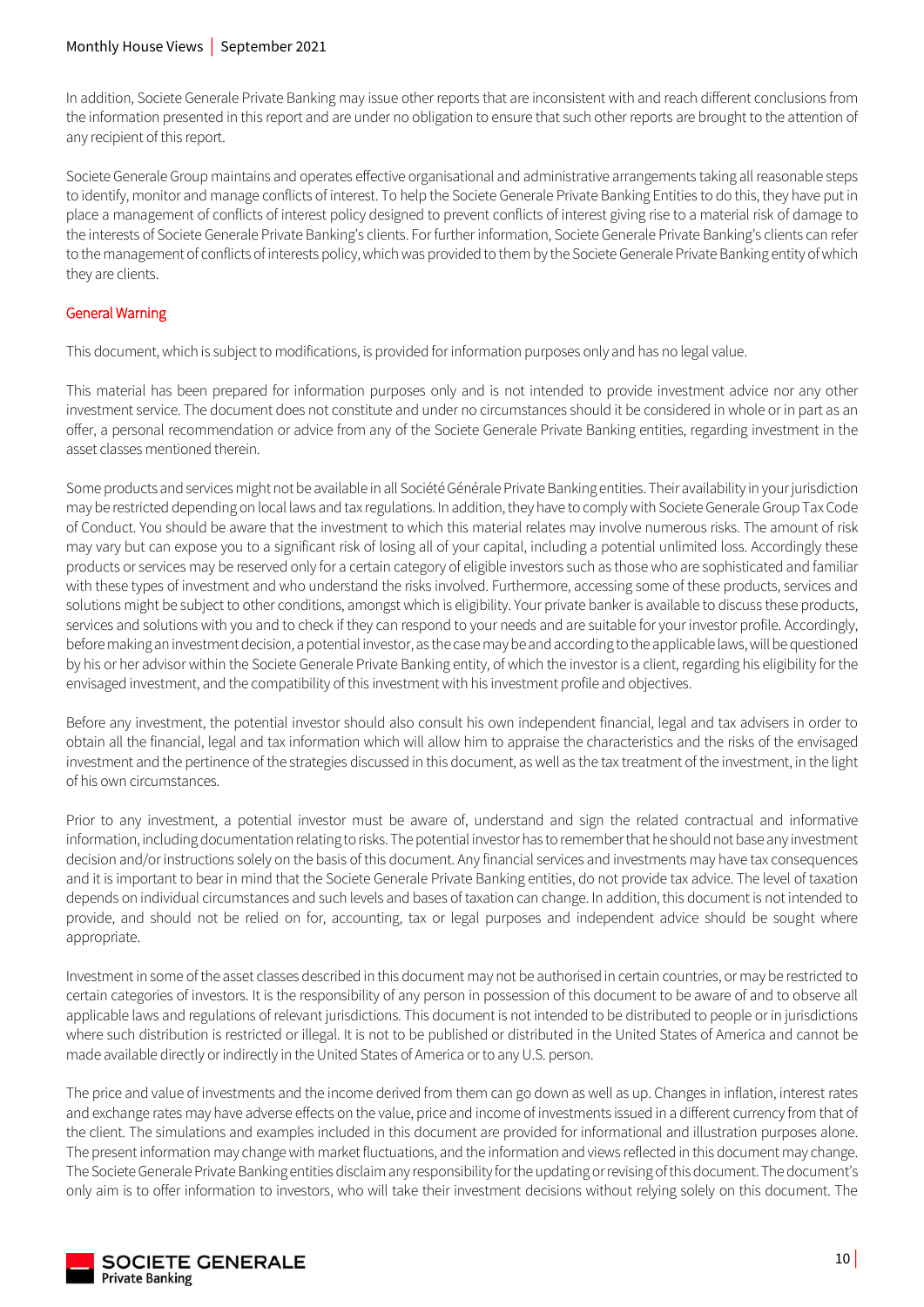### Monthly House Views | September 2021

In addition, Societe Generale Private Banking may issue other reports that are inconsistent with and reach different conclusions from the information presented in this report and are under no obligation to ensure that such other reports are brought to the attention of any recipient of this report.

Societe Generale Group maintains and operates effective organisational and administrative arrangements taking all reasonable steps to identify, monitor and manage conflicts of interest. To help the Societe Generale Private Banking Entities to do this, they have put in place a management of conflicts of interest policy designed to prevent conflicts of interest giving rise to a material risk of damage to the interests of Societe Generale Private Banking's clients. For further information, Societe Generale Private Banking's clients can refer to the management of conflicts of interests policy, which was provided to them by the Societe Generale Private Banking entity of which they are clients.

### General Warning

This document, which is subject to modifications, is provided for information purposes only and has no legal value.

This material has been prepared for information purposes only and is not intended to provide investment advice nor any other investment service. The document does not constitute and under no circumstances should it be considered in whole or in part as an offer, a personal recommendation or advice from any of the Societe Generale Private Banking entities, regarding investment in the asset classes mentioned therein.

Some products and services might not be available in all Société Générale Private Banking entities. Their availability in your jurisdiction may be restricted depending on local laws and tax regulations. In addition, they have to comply with Societe Generale Group Tax Code of Conduct. You should be aware that the investment to which this material relates may involve numerous risks. The amount of risk may vary but can expose you to a significant risk of losing all of your capital, including a potential unlimited loss. Accordingly these products or services may be reserved only for a certain category of eligible investors such as those who are sophisticated and familiar with these types of investment and who understand the risks involved. Furthermore, accessing some of these products, services and solutions might be subject to other conditions, amongst which is eligibility. Your private banker is available to discuss these products, services and solutions with you and to check if they can respond to your needs and are suitable for your investor profile. Accordingly, before making an investment decision, a potential investor, as the case may be and according to the applicable laws, will be questioned by his or her advisor within the Societe Generale Private Banking entity, of which the investor is a client, regarding his eligibility for the envisaged investment, and the compatibility of this investment with his investment profile and objectives.

Before any investment, the potential investor should also consult his own independent financial, legal and tax advisers in order to obtain all the financial, legal and tax information which will allow him to appraise the characteristics and the risks of the envisaged investment and the pertinence of the strategies discussed in this document, as well as the tax treatment of the investment, in the light of his own circumstances.

Prior to any investment, a potential investor must be aware of, understand and sign the related contractual and informative information, including documentation relating to risks. The potential investor has to remember that he should not base any investment decision and/or instructions solely on the basis of this document. Any financial services and investments may have tax consequences and it is important to bear in mind that the Societe Generale Private Banking entities, do not provide tax advice. The level of taxation depends on individual circumstances and such levels and bases of taxation can change. In addition, this document is not intended to provide, and should not be relied on for, accounting, tax or legal purposes and independent advice should be sought where appropriate.

Investment in some of the asset classes described in this document may not be authorised in certain countries, or may be restricted to certain categories of investors. It is the responsibility of any person in possession of this document to be aware of and to observe all applicable laws and regulations of relevant jurisdictions. This document is not intended to be distributed to people or in jurisdictions where such distribution is restricted or illegal. It is not to be published or distributed in the United States of America and cannot be made available directly or indirectly in the United States of America or to any U.S. person.

The price and value of investments and the income derived from them can go down as well as up. Changes in inflation, interest rates and exchange rates may have adverse effects on the value, price and income of investments issued in a different currency from that of the client. The simulations and examples included in this document are provided for informational and illustration purposes alone. The present information may change with market fluctuations, and the information and views reflected in this document may change. The Societe Generale Private Banking entities disclaim any responsibility for the updating or revising of this document. The document's only aim is to offer information to investors, who will take their investment decisions without relying solely on this document. The

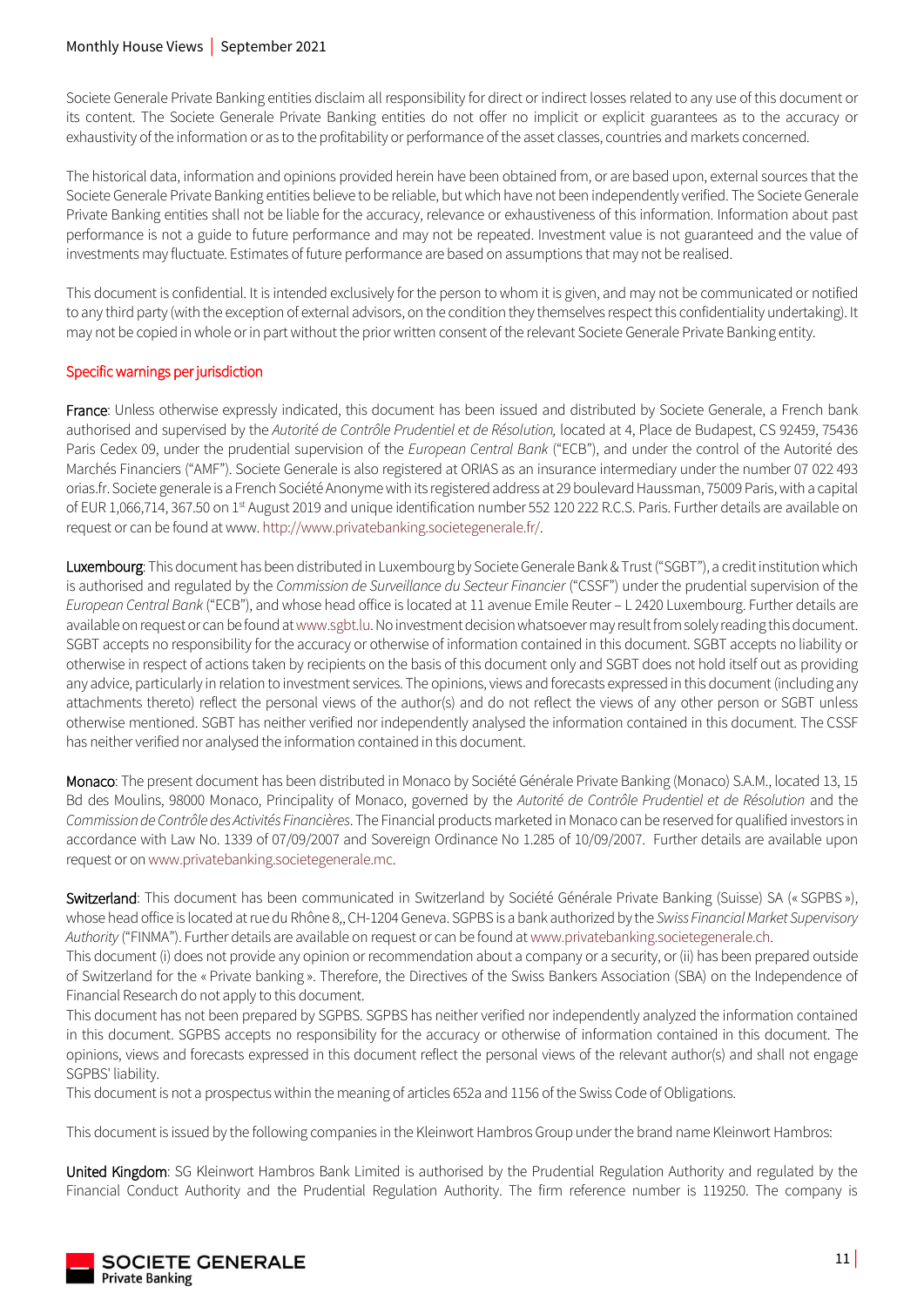### Monthly House Views | September 2021

Societe Generale Private Banking entities disclaim all responsibility for direct or indirect losses related to any use of this document or its content. The Societe Generale Private Banking entities do not offer no implicit or explicit guarantees as to the accuracy or exhaustivity of the information or as to the profitability or performance of the asset classes, countries and markets concerned.

The historical data, information and opinions provided herein have been obtained from, or are based upon, external sources that the Societe Generale Private Banking entities believe to be reliable, but which have not been independently verified. The Societe Generale Private Banking entities shall not be liable for the accuracy, relevance or exhaustiveness of this information. Information about past performance is not a guide to future performance and may not be repeated. Investment value is not guaranteed and the value of investments may fluctuate. Estimates of future performance are based on assumptions that may not be realised.

This document is confidential. It is intended exclusively for the person to whom it is given, and may not be communicated or notified to any third party (with the exception of external advisors, on the condition they themselves respect this confidentiality undertaking). It may not be copied in whole or in part without the prior written consent of the relevant Societe Generale Private Banking entity.

### Specific warnings per jurisdiction

France: Unless otherwise expressly indicated, this document has been issued and distributed by Societe Generale, a French bank authorised and supervised by the *Autorité de Contrôle Prudentiel et de Résolution,* located at 4, Place de Budapest, CS 92459, 75436 Paris Cedex 09, under the prudential supervision of the *European Central Bank* ("ECB"), and under the control of the Autorité des Marchés Financiers ("AMF"). Societe Generale is also registered at ORIAS as an insurance intermediary under the number 07 022 493 orias.fr. Societe generale is a French Société Anonyme with its registered address at 29 boulevard Haussman, 75009 Paris, with a capital of EUR 1,066,714, 367.50 on 1<sup>st</sup> August 2019 and unique identification number 552 120 222 R.C.S. Paris. Further details are available on request or can be found at www[. http://www.privatebanking.societegenerale.fr/.](http://www.privatebanking.societegenerale.fr/)

Luxembourg: This document has been distributed in Luxembourg by Societe Generale Bank & Trust ("SGBT"), a credit institution which is authorised and regulated by the *Commission de Surveillance du Secteur Financier* ("CSSF") under the prudential supervision of the *European Central Bank* ("ECB"), and whose head office is located at 11 avenue Emile Reuter – L 2420 Luxembourg. Further details are available on request or can be found a[t www.sgbt.lu.](http://www.sgbt.lu/)No investment decision whatsoever may result from solely reading this document. SGBT accepts no responsibility for the accuracy or otherwise of information contained in this document. SGBT accepts no liability or otherwise in respect of actions taken by recipients on the basis of this document only and SGBT does not hold itself out as providing any advice, particularly in relation to investment services. The opinions, views and forecasts expressed in this document (including any attachments thereto) reflect the personal views of the author(s) and do not reflect the views of any other person or SGBT unless otherwise mentioned. SGBT has neither verified nor independently analysed the information contained in this document. The CSSF has neither verified nor analysed the information contained in this document.

Monaco: The present document has been distributed in Monaco by Société Générale Private Banking (Monaco) S.A.M., located 13, 15 Bd des Moulins, 98000 Monaco, Principality of Monaco, governed by the *Autorité de Contrôle Prudentiel et de Résolution* and the *Commission de Contrôle des Activités Financières*. The Financial products marketed in Monaco can be reserved for qualified investors in accordance with Law No. 1339 of 07/09/2007 and Sovereign Ordinance No 1.285 of 10/09/2007. Further details are available upon request or o[n www.privatebanking.societegenerale.mc.](http://www.privatebanking.societegenerale.mc/)

Switzerland: This document has been communicated in Switzerland by Société Générale Private Banking (Suisse) SA (« SGPBS »), whose head office is located at rue du Rhône 8,, CH-1204 Geneva. SGPBS is a bank authorized by the *Swiss Financial Market Supervisory Authority* ("FINMA"). Further details are available on request or can be found at [www.privatebanking.societegenerale.ch.](http://www.privatebanking.societegenerale.ch/)

This document (i) does not provide any opinion or recommendation about a company or a security, or (ii) has been prepared outside of Switzerland for the « Private banking ». Therefore, the Directives of the Swiss Bankers Association (SBA) on the Independence of Financial Research do not apply to this document.

This document has not been prepared by SGPBS. SGPBS has neither verified nor independently analyzed the information contained in this document. SGPBS accepts no responsibility for the accuracy or otherwise of information contained in this document. The opinions, views and forecasts expressed in this document reflect the personal views of the relevant author(s) and shall not engage SGPBS' liability.

This document is not a prospectus within the meaning of articles 652a and 1156 of the Swiss Code of Obligations.

This document is issued by the following companies in the Kleinwort Hambros Group under the brand name Kleinwort Hambros:

United Kingdom: SG Kleinwort Hambros Bank Limited is authorised by the Prudential Regulation Authority and regulated by the Financial Conduct Authority and the Prudential Regulation Authority. The firm reference number is 119250. The company is

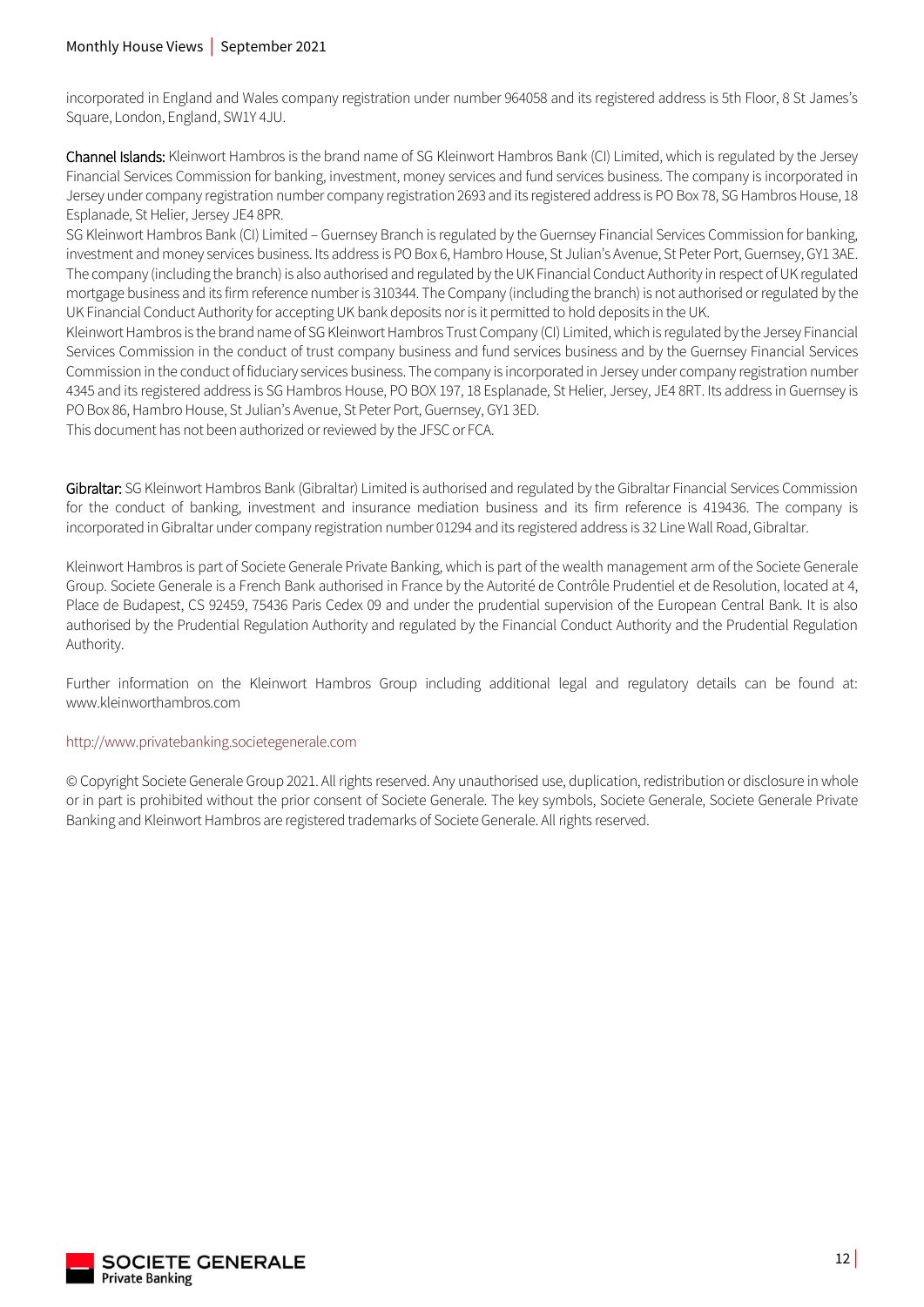incorporated in England and Wales company registration under number 964058 and its registered address is 5th Floor, 8 St James's Square, London, England, SW1Y 4JU.

Channel Islands: Kleinwort Hambros is the brand name of SG Kleinwort Hambros Bank (CI) Limited, which is regulated by the Jersey Financial Services Commission for banking, investment, money services and fund services business. The company is incorporated in Jersey under company registration number company registration 2693 and its registered address is PO Box 78, SG Hambros House, 18 Esplanade, St Helier, Jersey JE4 8PR.

SG Kleinwort Hambros Bank (CI) Limited – Guernsey Branch is regulated by the Guernsey Financial Services Commission for banking, investment and money services business. Its address is PO Box 6, Hambro House, St Julian's Avenue, St Peter Port, Guernsey, GY1 3AE. The company (including the branch) is also authorised and regulated by the UK Financial Conduct Authority in respect of UK regulated mortgage business and its firm reference number is 310344. The Company (including the branch) is not authorised or regulated by the UK Financial Conduct Authority for accepting UK bank deposits nor is it permitted to hold deposits in the UK.

Kleinwort Hambros is the brand name of SG Kleinwort Hambros Trust Company (CI) Limited, which is regulated by the Jersey Financial Services Commission in the conduct of trust company business and fund services business and by the Guernsey Financial Services Commission in the conduct of fiduciary services business. The company is incorporated in Jersey under company registration number 4345 and its registered address is SG Hambros House, PO BOX 197, 18 Esplanade, St Helier, Jersey, JE4 8RT. Its address in Guernsey is PO Box 86, Hambro House, St Julian's Avenue, St Peter Port, Guernsey, GY1 3ED.

This document has not been authorized or reviewed by the JFSC or FCA.

Gibraltar: SG Kleinwort Hambros Bank (Gibraltar) Limited is authorised and regulated by the Gibraltar Financial Services Commission for the conduct of banking, investment and insurance mediation business and its firm reference is 419436. The company is incorporated in Gibraltar under company registration number 01294 and its registered address is 32 Line Wall Road, Gibraltar.

Kleinwort Hambros is part of Societe Generale Private Banking, which is part of the wealth management arm of the Societe Generale Group. Societe Generale is a French Bank authorised in France by the Autorité de Contrôle Prudentiel et de Resolution, located at 4, Place de Budapest, CS 92459, 75436 Paris Cedex 09 and under the prudential supervision of the European Central Bank. It is also authorised by the Prudential Regulation Authority and regulated by the Financial Conduct Authority and the Prudential Regulation Authority.

Further information on the Kleinwort Hambros Group including additional legal and regulatory details can be found at: www.kleinworthambros.com

### [http://www.privatebanking.societegenerale.com](http://www.privatebanking.societegenerale.com/)

© Copyright Societe Generale Group 2021. All rights reserved. Any unauthorised use, duplication, redistribution or disclosure in whole or in part is prohibited without the prior consent of Societe Generale. The key symbols, Societe Generale, Societe Generale Private Banking and Kleinwort Hambros are registered trademarks of Societe Generale. All rights reserved.